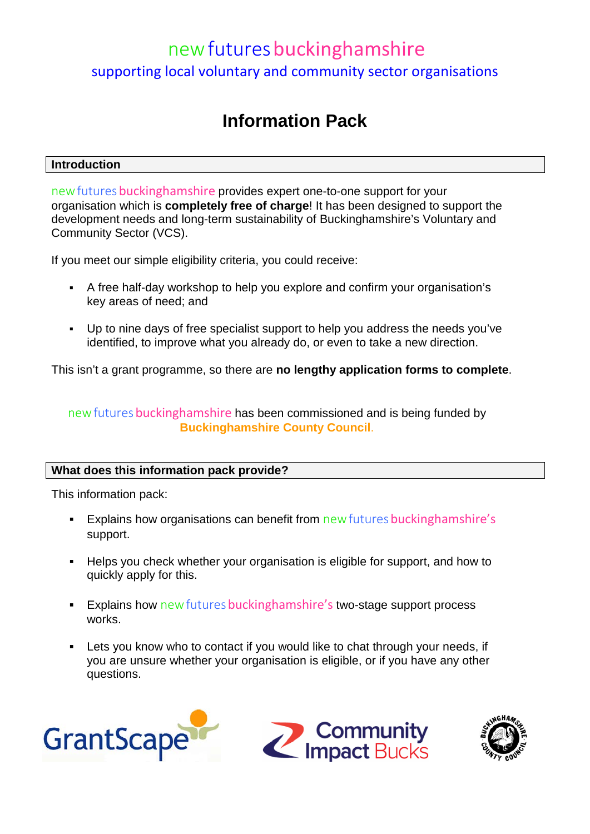# new futures buckinghamshire supporting local voluntary and community sector organisations

# **Information Pack**

## **Introduction**

new futures buckinghamshire provides expert one-to-one support for your organisation which is **completely free of charge**! It has been designed to support the development needs and long-term sustainability of Buckinghamshire's Voluntary and Community Sector (VCS).

If you meet our simple eligibility criteria, you could receive:

- A free half-day workshop to help you explore and confirm your organisation's key areas of need; and
- Up to nine days of free specialist support to help you address the needs you've identified, to improve what you already do, or even to take a new direction.

This isn't a grant programme, so there are **no lengthy application forms to complete**.

new futures bucking hamshire has been commissioned and is being funded by **[Buckinghamshire County Council](http://www.buckscc.gov.uk/)**.

# **What does this information pack provide?**

This information pack:

- Explains how organisations can benefit from new futures bucking hamshire's support.
- Helps you check whether your organisation is eligible for support, and how to quickly apply for this.
- **Explains how new futures buckinghamshire's two-stage support process** works.
- Lets you know who to contact if you would like to chat through your needs, if you are unsure whether your organisation is eligible, or if you have any other questions.





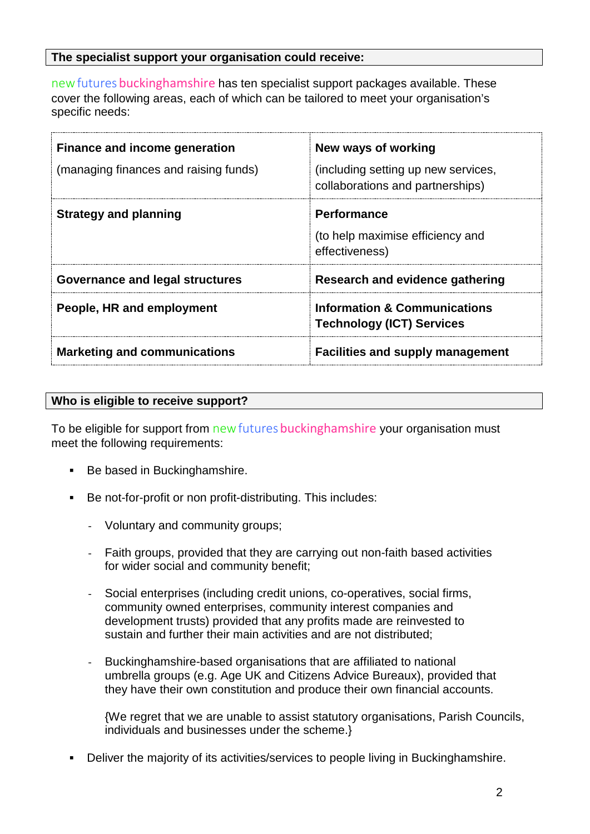### **The specialist support your organisation could receive:**

new futures buckinghamshire has ten specialist support packages available. These cover the following areas, each of which can be tailored to meet your organisation's specific needs:

| <b>Finance and income generation</b>  | New ways of working                                                         |
|---------------------------------------|-----------------------------------------------------------------------------|
| (managing finances and raising funds) | (including setting up new services,<br>collaborations and partnerships)     |
| <b>Strategy and planning</b>          | <b>Performance</b><br>(to help maximise efficiency and<br>effectiveness)    |
| Governance and legal structures       | <b>Research and evidence gathering</b>                                      |
| People, HR and employment             | <b>Information &amp; Communications</b><br><b>Technology (ICT) Services</b> |
| <b>Marketing and communications</b>   | <b>Facilities and supply management</b>                                     |

## **Who is eligible to receive support?**

To be eligible for support from new futures buckinghamshire your organisation must meet the following requirements:

- Be based in Buckinghamshire.
- Be not-for-profit or non profit-distributing. This includes:
	- Voluntary and community groups;
	- Faith groups, provided that they are carrying out non-faith based activities for wider social and community benefit;
	- Social enterprises (including credit unions, co-operatives, social firms, community owned enterprises, community interest companies and development trusts) provided that any profits made are reinvested to sustain and further their main activities and are not distributed;
	- Buckinghamshire-based organisations that are affiliated to national umbrella groups (e.g. Age UK and Citizens Advice Bureaux), provided that they have their own constitution and produce their own financial accounts.

{We regret that we are unable to assist statutory organisations, Parish Councils, individuals and businesses under the scheme.}

Deliver the majority of its activities/services to people living in Buckinghamshire.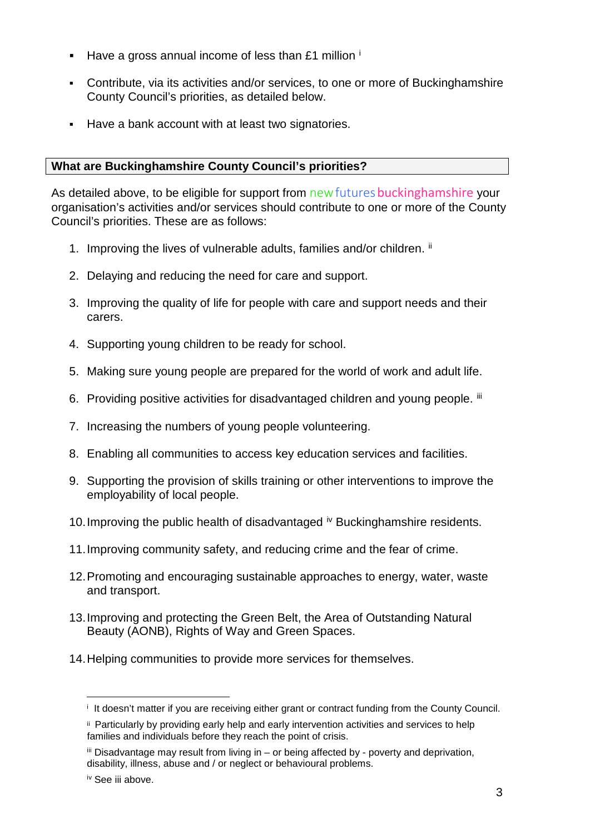- Have a gross annual [i](#page-2-0)ncome of less than £1 million  $\mathbf{i}$
- Contribute, via its activities and/or services, to one or more of Buckinghamshire County Council's priorities, as detailed below.
- Have a bank account with at least two signatories.

# **What are Buckinghamshire County Council's priorities?**

As detailed above, to be eligible for support from new futures bucking hamshire your organisation's activities and/or services should contribute to one or more of the County Council's priorities. These are as follows:

- 1. Improving the lives of vulnerable adults, families and/or children. [ii](#page-2-1)
- 2. Delaying and reducing the need for care and support.
- 3. Improving the quality of life for people with care and support needs and their carers.
- 4. Supporting young children to be ready for school.
- 5. Making sure young people are prepared for the world of work and adult life.
- 6. Providing positive activities for disadvantaged children and young people. [iii](#page-2-2)
- 7. Increasing the numbers of young people volunteering.
- 8. Enabling all communities to access key education services and facilities.
- 9. Supporting the provision of skills training or other interventions to improve the employability of local people.
- 10. Improving the public health of disadvantaged <sup>[iv](#page-2-3)</sup> Buckinghamshire residents.
- 11.Improving community safety, and reducing crime and the fear of crime.
- 12.Promoting and encouraging sustainable approaches to energy, water, waste and transport.
- 13.Improving and protecting the Green Belt, the Area of Outstanding Natural Beauty (AONB), Rights of Way and Green Spaces.
- <span id="page-2-0"></span>14.Helping communities to provide more services for themselves.

 $\overline{a}$ i It doesn't matter if you are receiving either grant or contract funding from the County Council.

<span id="page-2-1"></span>ii Particularly by providing early help and early intervention activities and services to help families and individuals before they reach the point of crisis.

<span id="page-2-2"></span> $\ddot{m}$  Disadvantage may result from living in – or being affected by - poverty and deprivation, disability, illness, abuse and / or neglect or behavioural problems.

<span id="page-2-3"></span>iv See iii above.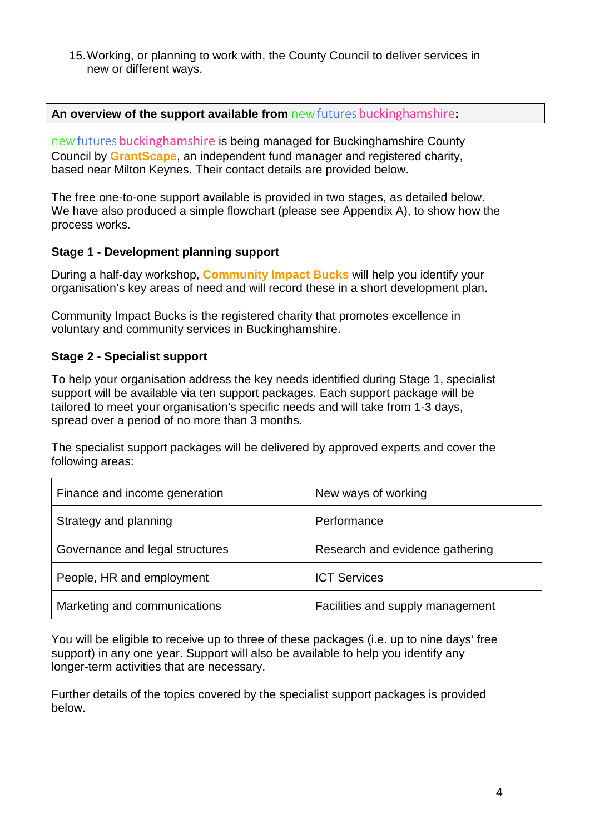15.Working, or planning to work with, the County Council to deliver services in new or different ways.

#### **An overview of the support available from** newfuturesbuckinghamshire**:**

new futures buckinghamshire is being managed for Buckinghamshire County Council by **[GrantScape](http://www.grantscape.org.uk/)**, an independent fund manager and registered charity, based near Milton Keynes. Their contact details are provided below.

The free one-to-one support available is provided in two stages, as detailed below. We have also produced a simple flowchart (please see Appendix A), to show how the process works.

#### **Stage 1 - Development planning support**

During a half-day workshop, **[Community Impact Bucks](http://www.communityimpactbucks.org.uk/)** will help you identify your organisation's key areas of need and will record these in a short development plan.

Community Impact Bucks is the registered charity that promotes excellence in voluntary and community services in Buckinghamshire.

#### **Stage 2 - Specialist support**

To help your organisation address the key needs identified during Stage 1, specialist support will be available via ten support packages. Each support package will be tailored to meet your organisation's specific needs and will take from 1-3 days, spread over a period of no more than 3 months.

The specialist support packages will be delivered by approved experts and cover the following areas:

| Finance and income generation   | New ways of working              |
|---------------------------------|----------------------------------|
| Strategy and planning           | Performance                      |
| Governance and legal structures | Research and evidence gathering  |
| People, HR and employment       | <b>ICT Services</b>              |
| Marketing and communications    | Facilities and supply management |

You will be eligible to receive up to three of these packages (i.e. up to nine days' free support) in any one year. Support will also be available to help you identify any longer-term activities that are necessary.

Further details of the topics covered by the specialist support packages is provided below.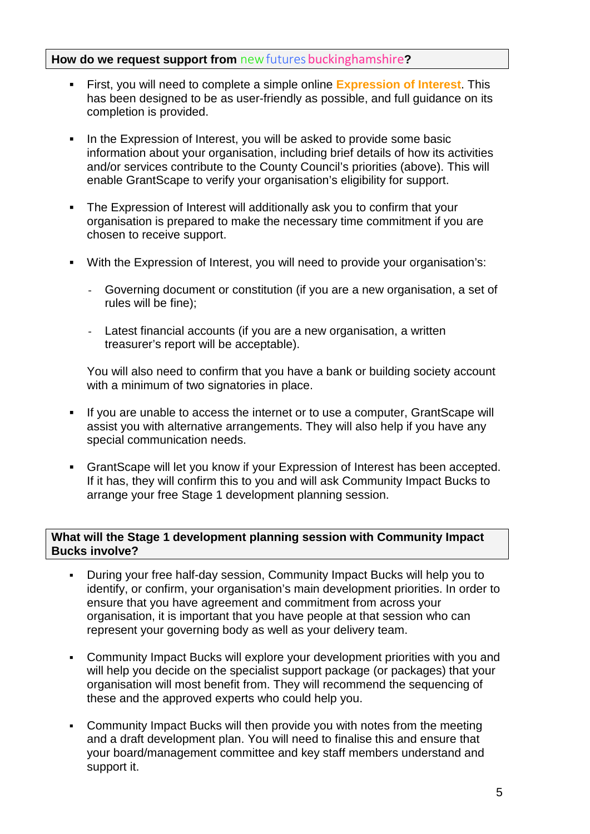### **How do we request support from** new futures bucking hamshire?

- First, you will need to complete a simple online **[Expression of Interest](https://newfutures.grantapps.net/form1/)**. This has been designed to be as user-friendly as possible, and full guidance on its completion is provided.
- In the Expression of Interest, you will be asked to provide some basic information about your organisation, including brief details of how its activities and/or services contribute to the County Council's priorities (above). This will enable GrantScape to verify your organisation's eligibility for support.
- The Expression of Interest will additionally ask you to confirm that your organisation is prepared to make the necessary time commitment if you are chosen to receive support.
- With the Expression of Interest, you will need to provide your organisation's:
	- Governing document or constitution (if you are a new organisation, a set of rules will be fine);
	- Latest financial accounts (if you are a new organisation, a written treasurer's report will be acceptable).

You will also need to confirm that you have a bank or building society account with a minimum of two signatories in place.

- If you are unable to access the internet or to use a computer, GrantScape will assist you with alternative arrangements. They will also help if you have any special communication needs.
- GrantScape will let you know if your Expression of Interest has been accepted. If it has, they will confirm this to you and will ask Community Impact Bucks to arrange your free Stage 1 development planning session.

#### **What will the Stage 1 development planning session with Community Impact Bucks involve?**

- During your free half-day session, Community Impact Bucks will help you to identify, or confirm, your organisation's main development priorities. In order to ensure that you have agreement and commitment from across your organisation, it is important that you have people at that session who can represent your governing body as well as your delivery team.
- Community Impact Bucks will explore your development priorities with you and will help you decide on the specialist support package (or packages) that your organisation will most benefit from. They will recommend the sequencing of these and the approved experts who could help you.
- Community Impact Bucks will then provide you with notes from the meeting and a draft development plan. You will need to finalise this and ensure that your board/management committee and key staff members understand and support it.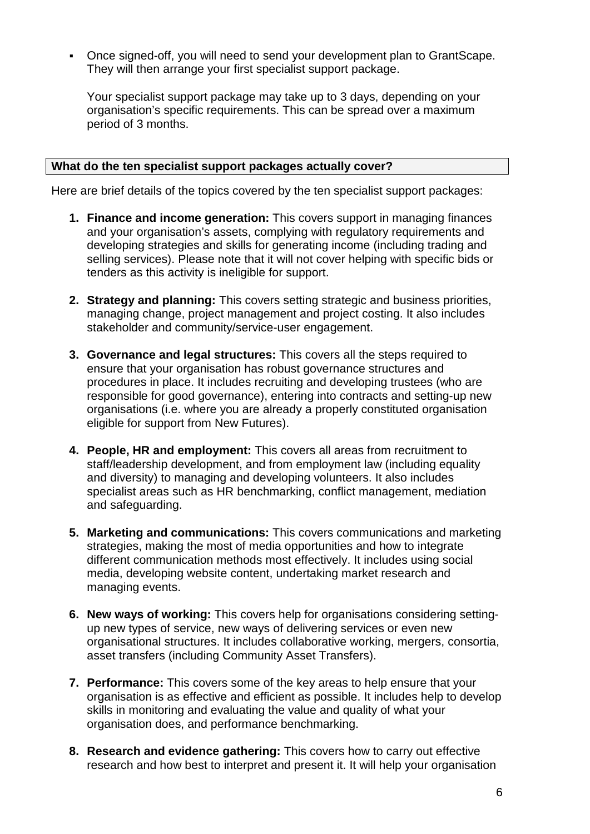Once signed-off, you will need to send your development plan to GrantScape. They will then arrange your first specialist support package.

Your specialist support package may take up to 3 days, depending on your organisation's specific requirements. This can be spread over a maximum period of 3 months.

#### **What do the ten specialist support packages actually cover?**

Here are brief details of the topics covered by the ten specialist support packages:

- **1. Finance and income generation:** This covers support in managing finances and your organisation's assets, complying with regulatory requirements and developing strategies and skills for generating income (including trading and selling services). Please note that it will not cover helping with specific bids or tenders as this activity is ineligible for support.
- **2. Strategy and planning:** This covers setting strategic and business priorities, managing change, project management and project costing. It also includes stakeholder and community/service-user engagement.
- **3. Governance and legal structures:** This covers all the steps required to ensure that your organisation has robust governance structures and procedures in place. It includes recruiting and developing trustees (who are responsible for good governance), entering into contracts and setting-up new organisations (i.e. where you are already a properly constituted organisation eligible for support from New Futures).
- **4. People, HR and employment:** This covers all areas from recruitment to staff/leadership development, and from employment law (including equality and diversity) to managing and developing volunteers. It also includes specialist areas such as HR benchmarking, conflict management, mediation and safeguarding.
- **5. Marketing and communications:** This covers communications and marketing strategies, making the most of media opportunities and how to integrate different communication methods most effectively. It includes using social media, developing website content, undertaking market research and managing events.
- **6. New ways of working:** This covers help for organisations considering settingup new types of service, new ways of delivering services or even new organisational structures. It includes collaborative working, mergers, consortia, asset transfers (including Community Asset Transfers).
- **7. Performance:** This covers some of the key areas to help ensure that your organisation is as effective and efficient as possible. It includes help to develop skills in monitoring and evaluating the value and quality of what your organisation does, and performance benchmarking.
- **8. Research and evidence gathering:** This covers how to carry out effective research and how best to interpret and present it. It will help your organisation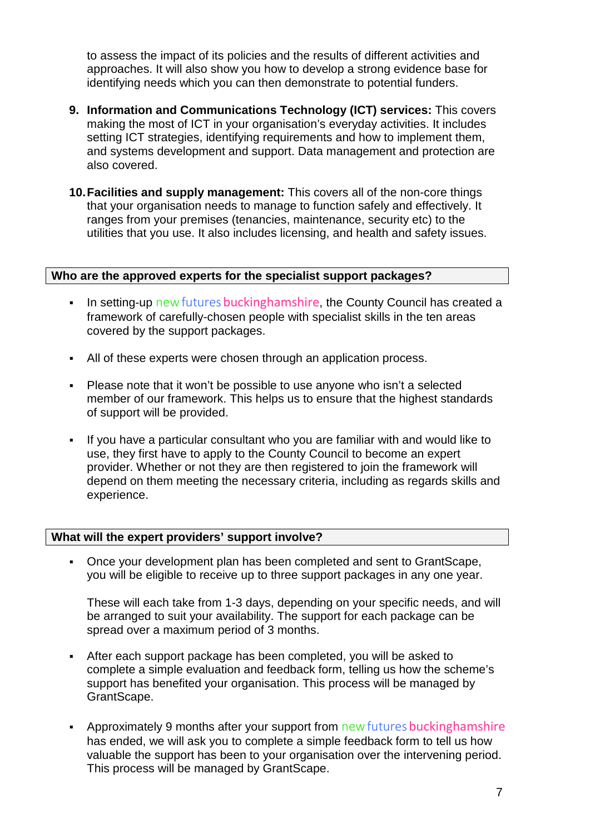to assess the impact of its policies and the results of different activities and approaches. It will also show you how to develop a strong evidence base for identifying needs which you can then demonstrate to potential funders.

- **9. Information and Communications Technology (ICT) services:** This covers making the most of ICT in your organisation's everyday activities. It includes setting ICT strategies, identifying requirements and how to implement them, and systems development and support. Data management and protection are also covered.
- **10.Facilities and supply management:** This covers all of the non-core things that your organisation needs to manage to function safely and effectively. It ranges from your premises (tenancies, maintenance, security etc) to the utilities that you use. It also includes licensing, and health and safety issues.

#### **Who are the approved experts for the specialist support packages?**

- In setting-up new futures bucking hamshire, the County Council has created a framework of carefully-chosen people with specialist skills in the ten areas covered by the support packages.
- All of these experts were chosen through an application process.
- Please note that it won't be possible to use anyone who isn't a selected member of our framework. This helps us to ensure that the highest standards of support will be provided.
- If you have a particular consultant who you are familiar with and would like to use, they first have to apply to the County Council to become an expert provider. Whether or not they are then registered to join the framework will depend on them meeting the necessary criteria, including as regards skills and experience.

#### **What will the expert providers' support involve?**

 Once your development plan has been completed and sent to GrantScape, you will be eligible to receive up to three support packages in any one year.

These will each take from 1-3 days, depending on your specific needs, and will be arranged to suit your availability. The support for each package can be spread over a maximum period of 3 months.

- After each support package has been completed, you will be asked to complete a simple evaluation and feedback form, telling us how the scheme's support has benefited your organisation. This process will be managed by GrantScape.
- Approximately 9 months after your support from new futures bucking hamshire has ended, we will ask you to complete a simple feedback form to tell us how valuable the support has been to your organisation over the intervening period. This process will be managed by GrantScape.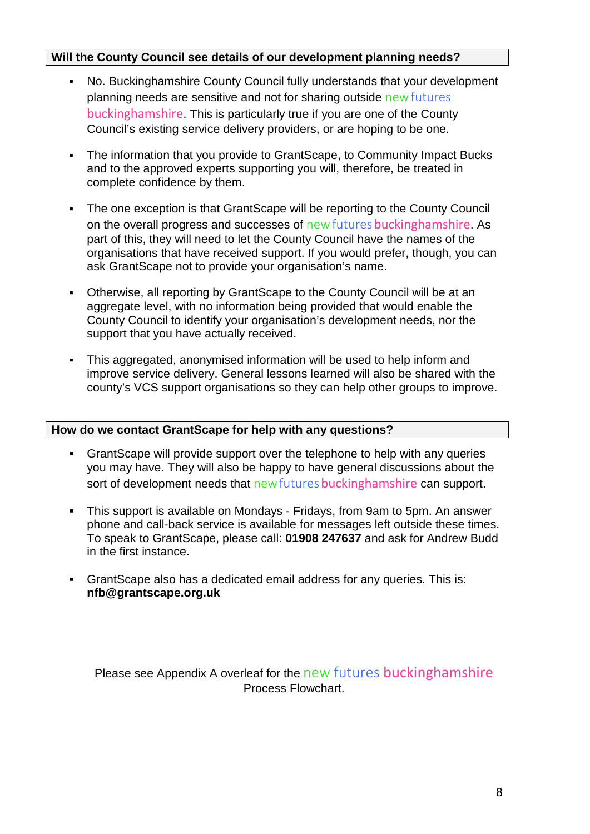## **Will the County Council see details of our development planning needs?**

- No. Buckinghamshire County Council fully understands that your development planning needs are sensitive and not for sharing outside newfutures buckinghamshire. This is particularly true if you are one of the County Council's existing service delivery providers, or are hoping to be one.
- The information that you provide to GrantScape, to Community Impact Bucks and to the approved experts supporting you will, therefore, be treated in complete confidence by them.
- The one exception is that GrantScape will be reporting to the County Council on the overall progress and successes of new futures buckinghamshire. As part of this, they will need to let the County Council have the names of the organisations that have received support. If you would prefer, though, you can ask GrantScape not to provide your organisation's name.
- Otherwise, all reporting by GrantScape to the County Council will be at an aggregate level, with no information being provided that would enable the County Council to identify your organisation's development needs, nor the support that you have actually received.
- This aggregated, anonymised information will be used to help inform and improve service delivery. General lessons learned will also be shared with the county's VCS support organisations so they can help other groups to improve.

#### **How do we contact GrantScape for help with any questions?**

- GrantScape will provide support over the telephone to help with any queries you may have. They will also be happy to have general discussions about the sort of development needs that new futures bucking hamshire can support.
- This support is available on Mondays Fridays, from 9am to 5pm. An answer phone and call-back service is available for messages left outside these times. To speak to GrantScape, please call: **01908 247637** and ask for Andrew Budd in the first instance.
- GrantScape also has a dedicated email address for any queries. This is: **nfb@grantscape.org.uk**

Please see Appendix A overleaf for the new futures buckinghamshire Process Flowchart.